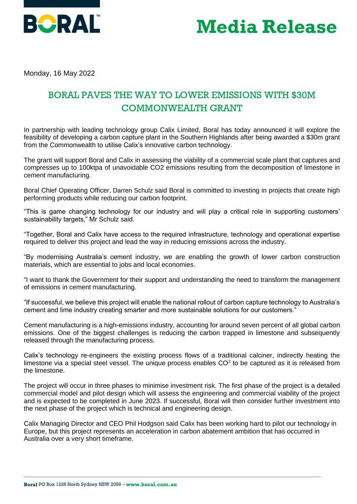

## **Media Release**

Monday, 16 May 2022

## BORAL PAVES THE WAY TO LOWER EMISSIONS WITH \$30M COMMONWEALTH GRANT

In partnership with leading technology group Calix Limited, Boral has today announced it will explore the feasibility of developing a carbon capture plant in the Southern Highlands after being awarded a \$30m grant from the Commonwealth to utilise Calix's innovative carbon technology.

The grant will support Boral and Calix in assessing the viability of a commercial scale plant that captures and compresses up to 100ktpa of unavoidable CO2 emissions resulting from the decomposition of limestone in cement manufacturing.

Boral Chief Operating Officer, Darren Schulz said Boral is committed to investing in projects that create high performing products while reducing our carbon footprint.

"This is game changing technology for our industry and will play a critical role in supporting customers' sustainability targets," Mr Schulz said.

"Together, Boral and Calix have access to the required infrastructure, technology and operational expertise required to deliver this project and lead the way in reducing emissions across the industry.

"By modernising Australia's cement industry, we are enabling the growth of lower carbon construction materials, which are essential to jobs and local economies.

"I want to thank the Government for their support and understanding the need to transform the management of emissions in cement manufacturing.

"If successful, we believe this project will enable the national rollout of carbon capture technology to Australia's cement and lime industry creating smarter and more sustainable solutions for our customers."

Cement manufacturing is a high-emissions industry, accounting for around seven percent of all global carbon emissions. One of the biggest challenges is reducing the carbon trapped in limestone and subsequently released through the manufacturing process.

Calix's technology re-engineers the existing process flows of a traditional calciner, indirectly heating the limestone via a special steel vessel. The unique process enables  $CO<sup>2</sup>$  to be captured as it is released from the limestone.

The project will occur in three phases to minimise investment risk. The first phase of the project is a detailed commercial model and pilot design which will assess the engineering and commercial viability of the project and is expected to be completed in June 2023. If successful, Boral will then consider further investment into the next phase of the project which is technical and engineering design.

Calix Managing Director and CEO Phil Hodgson said Calix has been working hard to pilot our technology in Europe, but this project represents an acceleration in carbon abatement ambition that has occurred in Australia over a very short timeframe.